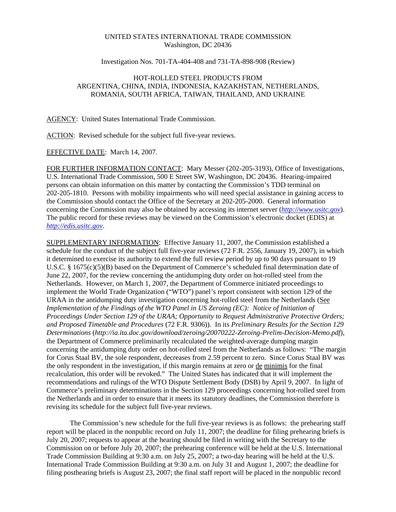## UNITED STATES INTERNATIONAL TRADE COMMISSION Washington, DC 20436

Investigation Nos. 701-TA-404-408 and 731-TA-898-908 (Review)

## HOT-ROLLED STEEL PRODUCTS FROM ARGENTINA, CHINA, INDIA, INDONESIA, KAZAKHSTAN, NETHERLANDS, ROMANIA, SOUTH AFRICA, TAIWAN, THAILAND, AND UKRAINE

AGENCY: United States International Trade Commission.

ACTION: Revised schedule for the subject full five-year reviews.

EFFECTIVE DATE: March 14, 2007.

FOR FURTHER INFORMATION CONTACT: Mary Messer (202-205-3193), Office of Investigations, U.S. International Trade Commission, 500 E Street SW, Washington, DC 20436. Hearing-impaired persons can obtain information on this matter by contacting the Commission's TDD terminal on 202-205-1810. Persons with mobility impairments who will need special assistance in gaining access to the Commission should contact the Office of the Secretary at 202-205-2000. General information concerning the Commission may also be obtained by accessing its internet server (*http://www.usitc.gov*). The public record for these reviews may be viewed on the Commission's electronic docket (EDIS) at *http://edis.usitc.gov*.

SUPPLEMENTARY INFORMATION: Effective January 11, 2007, the Commission established a schedule for the conduct of the subject full five-year reviews (72 F.R. 2556, January 19, 2007), in which it determined to exercise its authority to extend the full review period by up to 90 days pursuant to 19 U.S.C. § 1675(c)(5)(B) based on the Department of Commerce's scheduled final determination date of June 22, 2007, for the review concerning the antidumping duty order on hot-rolled steel from the Netherlands. However, on March 1, 2007, the Department of Commerce initiated proceedings to implement the World Trade Organization ("WTO") panel's report consistent with section 129 of the URAA in the antidumping duty investigation concerning hot-rolled steel from the Netherlands (See *Implementation of the Findings of the WTO Panel in US Zeroing (EC): Notice of Initiation of Proceedings Under Section 129 of the URAA; Opportunity to Request Administrative Protective Orders; and Proposed Timetable and Procedures* (72 F.R. 9306)). In its *Preliminary Results for the Section 129 Determinations* (*http://ia.ita.doc.gov/download/zeroing/20070222-Zeroing-Prelim-Decision-Memo.pdf*), the Department of Commerce preliminarily recalculated the weighted-average dumping margin concerning the antidumping duty order on hot-rolled steel from the Netherlands as follows: "The margin for Corus Staal BV, the sole respondent, decreases from 2.59 percent to zero. Since Corus Staal BV was the only respondent in the investigation, if this margin remains at zero or <u>de minimis</u> for the final recalculation, this order will be revoked." The United States has indicated that it will implement the recommendations and rulings of the WTO Dispute Settlement Body (DSB) by April 9, 2007. In light of Commerce's preliminary determinations in the Section 129 proceedings concerning hot-rolled steel from the Netherlands and in order to ensure that it meets its statutory deadlines, the Commission therefore is revising its schedule for the subject full five-year reviews.

The Commission's new schedule for the full five-year reviews is as follows: the prehearing staff report will be placed in the nonpublic record on July 11, 2007; the deadline for filing prehearing briefs is July 20, 2007; requests to appear at the hearing should be filed in writing with the Secretary to the Commission on or before July 20, 2007; the prehearing conference will be held at the U.S. International Trade Commission Building at 9:30 a.m. on July 25, 2007; a two-day hearing will be held at the U.S. International Trade Commission Building at 9:30 a.m. on July 31 and August 1, 2007; the deadline for filing posthearing briefs is August 23, 2007; the final staff report will be placed in the nonpublic record